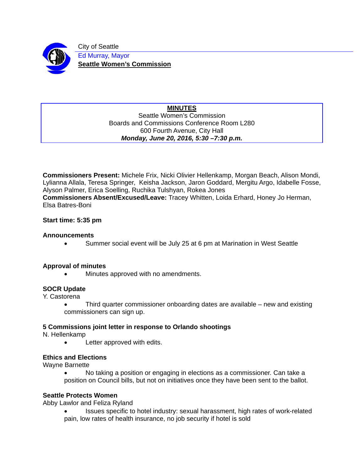

City of Seattle Ed Murray, Mayor **Seattle Women's Commission** 

#### **MINUTES**  Seattle Women's Commission Boards and Commissions Conference Room L280 600 Fourth Avenue, City Hall *Monday, June 20, 2016, 5:30 –7:30 p.m.*

**Commissioners Present:** Michele Frix, Nicki Olivier Hellenkamp, Morgan Beach, Alison Mondi, Lylianna Allala, Teresa Springer, Keisha Jackson, Jaron Goddard, Mergitu Argo, Idabelle Fosse, Alyson Palmer, Erica Soelling, Ruchika Tulshyan, Rokea Jones **Commissioners Absent/Excused/Leave:** Tracey Whitten, Loida Erhard, Honey Jo Herman, Elsa Batres-Boni

### **Start time: 5:35 pm**

#### **Announcements**

Summer social event will be July 25 at 6 pm at Marination in West Seattle

### **Approval of minutes**

Minutes approved with no amendments.

### **SOCR Update**

Y. Castorena

 Third quarter commissioner onboarding dates are available – new and existing commissioners can sign up.

### **5 Commissions joint letter in response to Orlando shootings**

N. Hellenkamp

Letter approved with edits.

### **Ethics and Elections**

Wayne Barnette

 No taking a position or engaging in elections as a commissioner. Can take a position on Council bills, but not on initiatives once they have been sent to the ballot.

### **Seattle Protects Women**

Abby Lawlor and Feliza Ryland

 Issues specific to hotel industry: sexual harassment, high rates of work-related pain, low rates of health insurance, no job security if hotel is sold